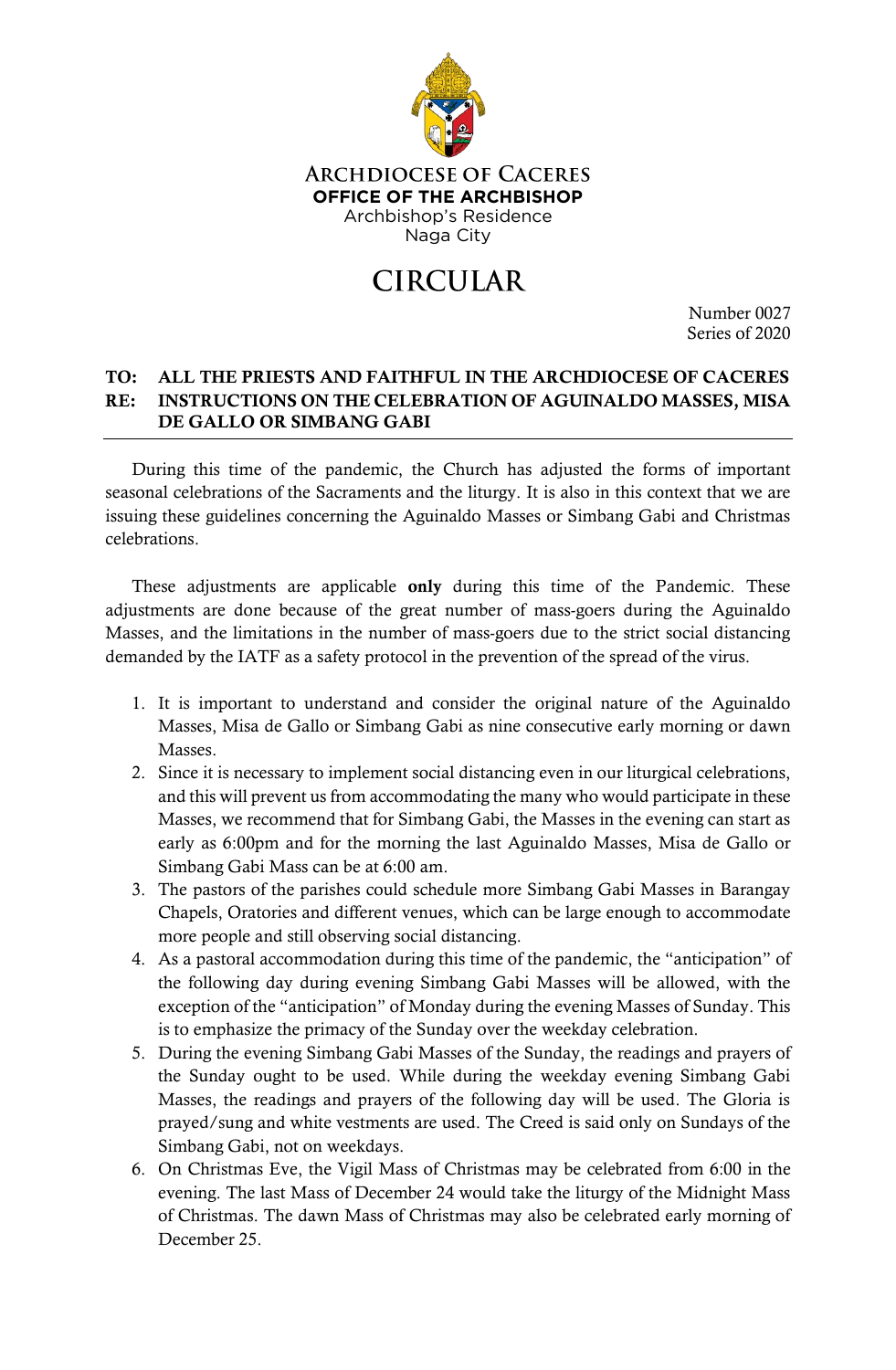

## **ARCHDIOCESE OF CACERES OFFICE OF THE ARCHBISHOP** Archbishop's Residence Naga City

## **CIRCULAR**

Number 0027 Series of 2020

## TO: ALL THE PRIESTS AND FAITHFUL IN THE ARCHDIOCESE OF CACERES RE: INSTRUCTIONS ON THE CELEBRATION OF AGUINALDO MASSES, MISA DE GALLO OR SIMBANG GABI

During this time of the pandemic, the Church has adjusted the forms of important seasonal celebrations of the Sacraments and the liturgy. It is also in this context that we are issuing these guidelines concerning the Aguinaldo Masses or Simbang Gabi and Christmas celebrations.

These adjustments are applicable **only** during this time of the Pandemic. These adjustments are done because of the great number of mass-goers during the Aguinaldo Masses, and the limitations in the number of mass-goers due to the strict social distancing demanded by the IATF as a safety protocol in the prevention of the spread of the virus.

- 1. It is important to understand and consider the original nature of the Aguinaldo Masses, Misa de Gallo or Simbang Gabi as nine consecutive early morning or dawn Masses.
- 2. Since it is necessary to implement social distancing even in our liturgical celebrations, and this will prevent us from accommodating the many who would participate in these Masses, we recommend that for Simbang Gabi, the Masses in the evening can start as early as 6:00pm and for the morning the last Aguinaldo Masses, Misa de Gallo or Simbang Gabi Mass can be at 6:00 am.
- 3. The pastors of the parishes could schedule more Simbang Gabi Masses in Barangay Chapels, Oratories and different venues, which can be large enough to accommodate more people and still observing social distancing.
- 4. As a pastoral accommodation during this time of the pandemic, the "anticipation" of the following day during evening Simbang Gabi Masses will be allowed, with the exception of the "anticipation" of Monday during the evening Masses of Sunday. This is to emphasize the primacy of the Sunday over the weekday celebration.
- 5. During the evening Simbang Gabi Masses of the Sunday, the readings and prayers of the Sunday ought to be used. While during the weekday evening Simbang Gabi Masses, the readings and prayers of the following day will be used. The Gloria is prayed/sung and white vestments are used. The Creed is said only on Sundays of the Simbang Gabi, not on weekdays.
- 6. On Christmas Eve, the Vigil Mass of Christmas may be celebrated from 6:00 in the evening. The last Mass of December 24 would take the liturgy of the Midnight Mass of Christmas. The dawn Mass of Christmas may also be celebrated early morning of December 25.